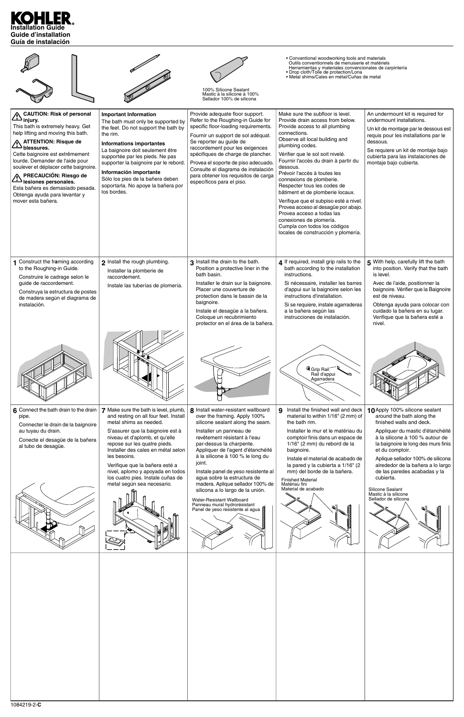# **Installation Guide Guide d'installation Guía de instalación**

|                                                                                                                                                                                                                                                                                                                                                                                                                                                      |                                                                                                                                                                                                                                                                                                                                                                                                               | 100% Silicone Sealant<br>Mastic à la silicone à 100%<br>Sellador 100% de silicona                                                                                                                                                                                                                                                                                                                                                                                                                                                  | • Conventional woodworking tools and materials<br>Outils conventionnels de menuiserie et matériels<br>Herramientas y materiales convencionales de carpintería<br>• Drop cloth/Toile de protection/Lona<br>• Metal shims/Cales en métal/Cuñas de metal                                                                                                                                                                                                                                                                                                                                                              |                                                                                                                                                                                                                                                                                                                                                                                                                     |
|------------------------------------------------------------------------------------------------------------------------------------------------------------------------------------------------------------------------------------------------------------------------------------------------------------------------------------------------------------------------------------------------------------------------------------------------------|---------------------------------------------------------------------------------------------------------------------------------------------------------------------------------------------------------------------------------------------------------------------------------------------------------------------------------------------------------------------------------------------------------------|------------------------------------------------------------------------------------------------------------------------------------------------------------------------------------------------------------------------------------------------------------------------------------------------------------------------------------------------------------------------------------------------------------------------------------------------------------------------------------------------------------------------------------|--------------------------------------------------------------------------------------------------------------------------------------------------------------------------------------------------------------------------------------------------------------------------------------------------------------------------------------------------------------------------------------------------------------------------------------------------------------------------------------------------------------------------------------------------------------------------------------------------------------------|---------------------------------------------------------------------------------------------------------------------------------------------------------------------------------------------------------------------------------------------------------------------------------------------------------------------------------------------------------------------------------------------------------------------|
| <b>CAUTION: Risk of personal</b><br>$\triangle$ CAU $\sim$ injury.<br>This bath is extremely heavy. Get<br>help lifting and moving this bath.<br>A ATTENTION: Risque de<br>_blessures کفے<br>Cette baignoire est extrêmement<br>lourde. Demander de l'aide pour<br>soulever et déplacer cette baignoire.<br>PRECAUCIÓN: Riesgo de<br>lesiones personales.<br>Esta bañera es demasiado pesada.<br>Obtenga ayuda para levantar y<br>mover esta bañera. | <b>Important Information</b><br>The bath must only be supported by<br>the feet. Do not support the bath by<br>the rim.<br><b>Informations importantes</b><br>La baignoire doit seulement être<br>supportée par les pieds. Ne pas<br>supporter la baignoire par le rebord.<br>Información importante<br>Sólo los pies de la bañera deben<br>soportarla. No apoye la bañera por<br>los bordes.                  | Provide adequate floor support.<br>Refer to the Roughing-in Guide for<br>specific floor-loading requirements.<br>Fournir un support de sol adéquat.<br>Se reporter au guide de<br>raccordement pour les exigences<br>spécifiques de charge de plancher.<br>Provea el soporte de piso adecuado.<br>Consulte el diagrama de instalación<br>para obtener los requisitos de carga<br>específicos para el piso.                                                                                                                         | Make sure the subfloor is level.<br>Provide drain access from below.<br>Provide access to all plumbing<br>connections.<br>Observe all local building and<br>plumbing codes.<br>Vérifier que le sol soit nivelé.<br>Fournir l'accès du drain à partir du<br>dessous.<br>Prévoir l'accès à toutes les<br>connexions de plomberie.<br>Respecter tous les codes de<br>bâtiment et de plomberie locaux.<br>Verifique que el subpiso esté a nivel.<br>Provea acceso al desagüe por abajo.<br>Provea acceso a todas las<br>conexiones de plomería.<br>Cumpla con todos los códigos<br>locales de construcción y plomería. | An undermount kit is required for<br>undermount installations.<br>Un kit de montage par le dessous est<br>requis pour les installations par le<br>dessous.<br>Se requiere un kit de montaje bajo<br>cubierta para las instalaciones de<br>montaje bajo cubierta.                                                                                                                                                    |
| 1 Construct the framing according<br>to the Roughing-in Guide.<br>Construire le cadrage selon le<br>guide de raccordement.<br>Construya la estructura de postes<br>de madera según el diagrama de<br>instalación.                                                                                                                                                                                                                                    | 2 Install the rough plumbing.<br>Installer la plomberie de<br>raccordement.<br>Instale las tuberías de plomería.                                                                                                                                                                                                                                                                                              | 3 Install the drain to the bath.<br>Position a protective liner in the<br>bath basin.<br>Installer le drain sur la baignoire.<br>Placer une couverture de<br>protection dans le bassin de la<br>baignoire.<br>Instale el desagüe a la bañera.<br>Coloque un recubrimiento<br>protector en el área de la bañera.                                                                                                                                                                                                                    | 4 If required, install grip rails to the<br>bath according to the installation<br>instructions.<br>Si nécessaire, installer les barres<br>d'appui sur la baignoire selon les<br>instructions d'installation.<br>Si se requiere, instale agarraderas<br>a la bañera según las<br>instrucciones de instalación.                                                                                                                                                                                                                                                                                                      | 5 With help, carefully lift the bath<br>into position. Verify that the bath<br>is level.<br>Avec de l'aide, positionner la<br>baignoire. Vérifier que la Baignoire<br>est de niveau.<br>Obtenga ayuda para colocar con<br>cuidado la bañera en su lugar.<br>Verifique que la bañera esté a<br>nivel.                                                                                                                |
|                                                                                                                                                                                                                                                                                                                                                                                                                                                      |                                                                                                                                                                                                                                                                                                                                                                                                               |                                                                                                                                                                                                                                                                                                                                                                                                                                                                                                                                    | <sup>4</sup> Grip Rail<br>Rail d'appui<br>Agarradera                                                                                                                                                                                                                                                                                                                                                                                                                                                                                                                                                               |                                                                                                                                                                                                                                                                                                                                                                                                                     |
| 6 Connect the bath drain to the drain<br>pipe.<br>Connecter le drain de la baignoire<br>au tuyau du drain.<br>Conecte el desagüe de la bañera<br>al tubo de desagüe.                                                                                                                                                                                                                                                                                 | 7 Make sure the bath is level, plumb,<br>and resting on all four feet. Install<br>metal shims as needed.<br>S'assurer que la baignoire est à<br>niveau et d'aplomb, et qu'elle<br>repose sur les quatre pieds.<br>Installer des cales en métal selon<br>les besoins.<br>Verifique que la bañera esté a<br>nivel, aplomo y apoyada en todos<br>los cuatro pies. Instale cuñas de<br>metal según sea necesario. | 8 Install water-resistant wallboard<br>over the framing. Apply 100%<br>silicone sealant along the seam.<br>Installer un panneau de<br>revêtement résistant à l'eau<br>par-dessus la charpente.<br>Appliquer de l'agent d'étanchéité<br>à la silicone à 100 % le long du<br>joint.<br>Instale panel de yeso resistente al<br>agua sobre la estructura de<br>madera. Aplique sellador 100% de<br>silicona a lo largo de la unión.<br>Water-Resistant Wallboard<br>Panneau mural hydrorésistant<br>Panel de yeso resistente al agua N | Install the finished wall and deck<br>9<br>material to within 1/16" (2 mm) of<br>the bath rim.<br>Installer le mur et le matériau du<br>comptoir finis dans un espace de<br>1/16" (2 mm) du rebord de la<br>baignoire.<br>Instale el material de acabado de<br>la pared y la cubierta a 1/16" (2<br>mm) del borde de la bañera.<br><b>Finished Material</b><br>Matériau fini<br>Material de acabado                                                                                                                                                                                                                | 10 Apply 100% silicone sealant<br>around the bath along the<br>finished walls and deck.<br>Appliquer du mastic d'étanchéité<br>à la silicone à 100 % autour de<br>la baignoire le long des murs finis<br>et du comptoir.<br>Aplique sellador 100% de silicona<br>alrededor de la bañera a lo largo<br>de las paredes acabadas y la<br>cubierta.<br>Silicone Sealant<br>Mastic à la silicone<br>Sellador de silicona |
|                                                                                                                                                                                                                                                                                                                                                                                                                                                      |                                                                                                                                                                                                                                                                                                                                                                                                               |                                                                                                                                                                                                                                                                                                                                                                                                                                                                                                                                    |                                                                                                                                                                                                                                                                                                                                                                                                                                                                                                                                                                                                                    |                                                                                                                                                                                                                                                                                                                                                                                                                     |